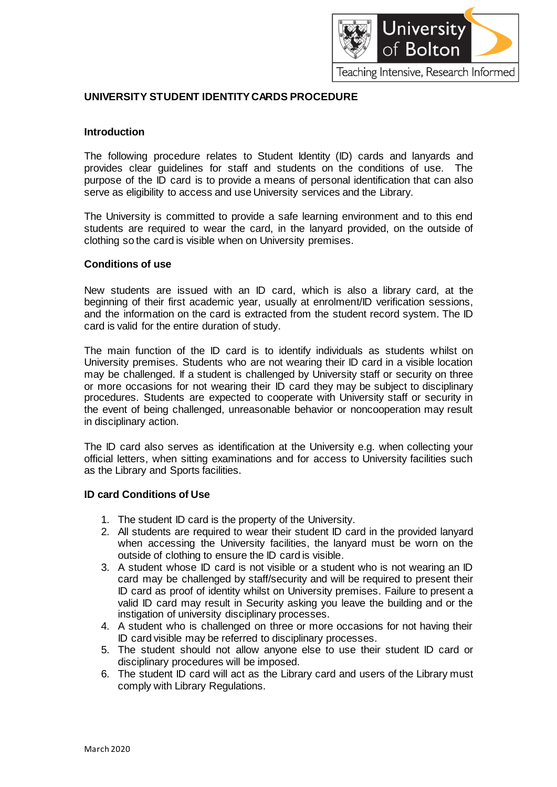

# **UNIVERSITY STUDENT IDENTITY CARDS PROCEDURE**

### **Introduction**

The following procedure relates to Student Identity (ID) cards and lanyards and provides clear guidelines for staff and students on the conditions of use. The purpose of the ID card is to provide a means of personal identification that can also serve as eligibility to access and use University services and the Library.

The University is committed to provide a safe learning environment and to this end students are required to wear the card, in the lanyard provided, on the outside of clothing so the card is visible when on University premises.

#### **Conditions of use**

New students are issued with an ID card, which is also a library card, at the beginning of their first academic year, usually at enrolment/ID verification sessions, and the information on the card is extracted from the student record system. The ID card is valid for the entire duration of study.

The main function of the ID card is to identify individuals as students whilst on University premises. Students who are not wearing their ID card in a visible location may be challenged. If a student is challenged by University staff or security on three or more occasions for not wearing their ID card they may be subject to disciplinary procedures. Students are expected to cooperate with University staff or security in the event of being challenged, unreasonable behavior or noncooperation may result in disciplinary action.

The ID card also serves as identification at the University e.g. when collecting your official letters, when sitting examinations and for access to University facilities such as the Library and Sports facilities.

#### **ID card Conditions of Use**

- 1. The student ID card is the property of the University.
- 2. All students are required to wear their student ID card in the provided lanyard when accessing the University facilities, the lanyard must be worn on the outside of clothing to ensure the ID card is visible.
- 3. A student whose ID card is not visible or a student who is not wearing an ID card may be challenged by staff/security and will be required to present their ID card as proof of identity whilst on University premises. Failure to present a valid ID card may result in Security asking you leave the building and or the instigation of university disciplinary processes.
- 4. A student who is challenged on three or more occasions for not having their ID card visible may be referred to disciplinary processes.
- 5. The student should not allow anyone else to use their student ID card or disciplinary procedures will be imposed.
- 6. The student ID card will act as the Library card and users of the Library must comply with Library Regulations.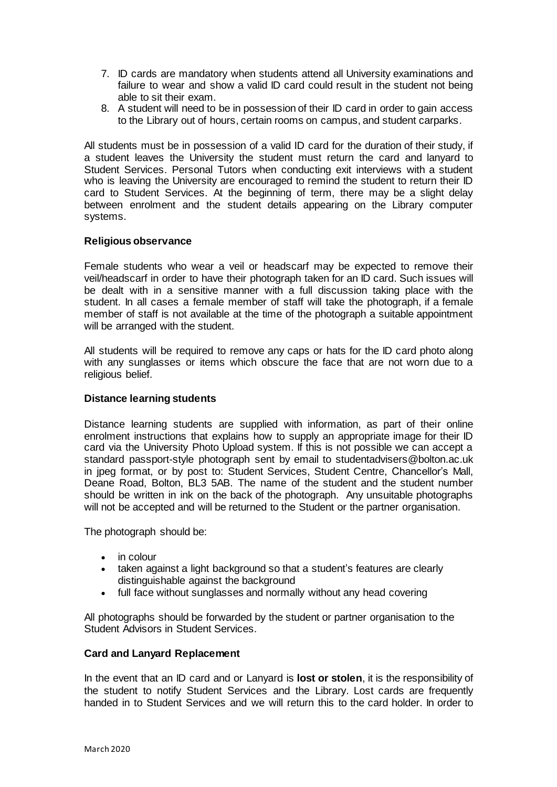- 7. ID cards are mandatory when students attend all University examinations and failure to wear and show a valid ID card could result in the student not being able to sit their exam.
- 8. A student will need to be in possession of their ID card in order to gain access to the Library out of hours, certain rooms on campus, and student carparks.

All students must be in possession of a valid ID card for the duration of their study, if a student leaves the University the student must return the card and lanyard to Student Services. Personal Tutors when conducting exit interviews with a student who is leaving the University are encouraged to remind the student to return their ID card to Student Services. At the beginning of term, there may be a slight delay between enrolment and the student details appearing on the Library computer systems.

### **Religious observance**

Female students who wear a veil or headscarf may be expected to remove their veil/headscarf in order to have their photograph taken for an ID card. Such issues will be dealt with in a sensitive manner with a full discussion taking place with the student. In all cases a female member of staff will take the photograph, if a female member of staff is not available at the time of the photograph a suitable appointment will be arranged with the student.

All students will be required to remove any caps or hats for the ID card photo along with any sunglasses or items which obscure the face that are not worn due to a religious belief.

### **Distance learning students**

Distance learning students are supplied with information, as part of their online enrolment instructions that explains how to supply an appropriate image for their ID card via the University Photo Upload system. If this is not possible we can accept a standard passport-style photograph sent by email to [studentadvisers@bolton.ac.uk](mailto:studentadvisers@bolton.ac.uk) in jpeg format, or by post to: Student Services, Student Centre, Chancellor's Mall, Deane Road, Bolton, BL3 5AB. The name of the student and the student number should be written in ink on the back of the photograph. Any unsuitable photographs will not be accepted and will be returned to the Student or the partner organisation.

The photograph should be:

- in colour
- taken against a light background so that a student's features are clearly distinguishable against the background
- full face without sunglasses and normally without any head covering

All photographs should be forwarded by the student or partner organisation to the Student Advisors in Student Services.

# **Card and Lanyard Replacement**

In the event that an ID card and or Lanyard is **lost or stolen**, it is the responsibility of the student to notify Student Services and the Library. Lost cards are frequently handed in to Student Services and we will return this to the card holder. In order to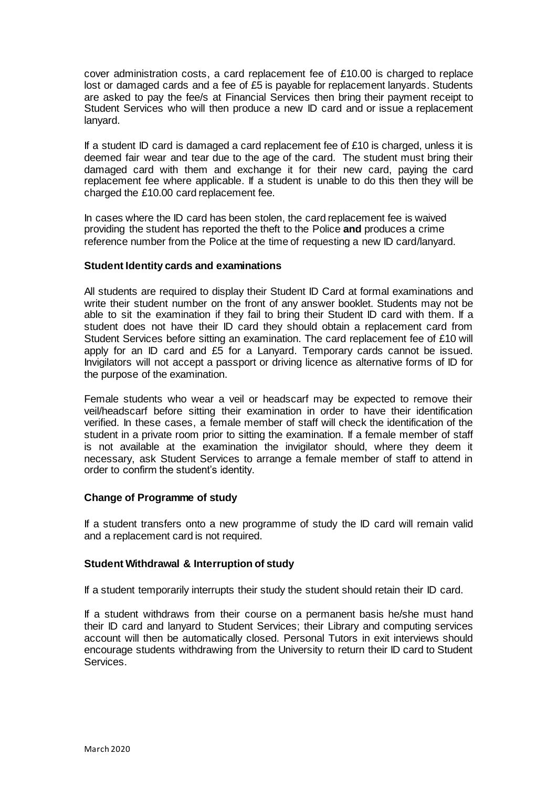cover administration costs, a card replacement fee of £10.00 is charged to replace lost or damaged cards and a fee of £5 is payable for replacement lanyards. Students are asked to pay the fee/s at Financial Services then bring their payment receipt to Student Services who will then produce a new ID card and or issue a replacement lanyard.

If a student ID card is damaged a card replacement fee of  $£10$  is charged, unless it is deemed fair wear and tear due to the age of the card. The student must bring their damaged card with them and exchange it for their new card, paying the card replacement fee where applicable. If a student is unable to do this then they will be charged the £10.00 card replacement fee.

In cases where the ID card has been stolen, the card replacement fee is waived providing the student has reported the theft to the Police **and** produces a crime reference number from the Police at the time of requesting a new ID card/lanyard.

### **Student Identity cards and examinations**

All students are required to display their Student ID Card at formal examinations and write their student number on the front of any answer booklet. Students may not be able to sit the examination if they fail to bring their Student ID card with them. If a student does not have their ID card they should obtain a replacement card from Student Services before sitting an examination. The card replacement fee of £10 will apply for an ID card and £5 for a Lanyard. Temporary cards cannot be issued. Invigilators will not accept a passport or driving licence as alternative forms of ID for the purpose of the examination.

Female students who wear a veil or headscarf may be expected to remove their veil/headscarf before sitting their examination in order to have their identification verified. In these cases, a female member of staff will check the identification of the student in a private room prior to sitting the examination. If a female member of staff is not available at the examination the invigilator should, where they deem it necessary, ask Student Services to arrange a female member of staff to attend in order to confirm the student's identity.

# **Change of Programme of study**

If a student transfers onto a new programme of study the ID card will remain valid and a replacement card is not required.

#### **Student Withdrawal & Interruption of study**

If a student temporarily interrupts their study the student should retain their ID card.

If a student withdraws from their course on a permanent basis he/she must hand their ID card and lanyard to Student Services; their Library and computing services account will then be automatically closed. Personal Tutors in exit interviews should encourage students withdrawing from the University to return their ID card to Student **Services**